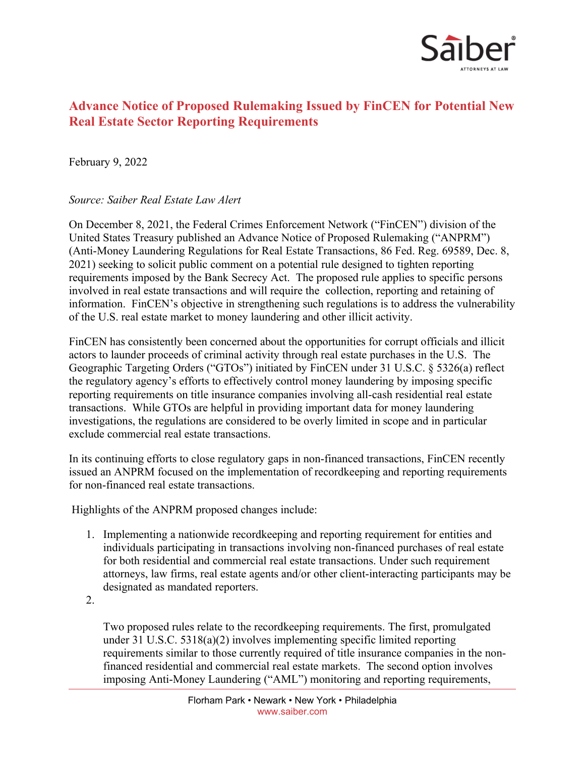

## **Advance Notice of Proposed Rulemaking Issued by FinCEN for Potential New Real Estate Sector Reporting Requirements**

February 9, 2022

## *Source: Saiber Real Estate Law Alert*

On December 8, 2021, the Federal Crimes Enforcement Network ("FinCEN") division of the United States Treasury published an Advance Notice of Proposed Rulemaking ("ANPRM") (Anti-Money Laundering Regulations for Real Estate Transactions, 86 Fed. Reg. 69589, Dec. 8, 2021) seeking to solicit public comment on a potential rule designed to tighten reporting requirements imposed by the Bank Secrecy Act. The proposed rule applies to specific persons involved in real estate transactions and will require the collection, reporting and retaining of information. FinCEN's objective in strengthening such regulations is to address the vulnerability of the U.S. real estate market to money laundering and other illicit activity.

FinCEN has consistently been concerned about the opportunities for corrupt officials and illicit actors to launder proceeds of criminal activity through real estate purchases in the U.S. The Geographic Targeting Orders ("GTOs") initiated by FinCEN under 31 U.S.C. § 5326(a) reflect the regulatory agency's efforts to effectively control money laundering by imposing specific reporting requirements on title insurance companies involving all-cash residential real estate transactions. While GTOs are helpful in providing important data for money laundering investigations, the regulations are considered to be overly limited in scope and in particular exclude commercial real estate transactions.

In its continuing efforts to close regulatory gaps in non-financed transactions, FinCEN recently issued an ANPRM focused on the implementation of recordkeeping and reporting requirements for non-financed real estate transactions.

Highlights of the ANPRM proposed changes include:

- 1. Implementing a nationwide recordkeeping and reporting requirement for entities and individuals participating in transactions involving non-financed purchases of real estate for both residential and commercial real estate transactions. Under such requirement attorneys, law firms, real estate agents and/or other client-interacting participants may be designated as mandated reporters.
- 2.

Two proposed rules relate to the recordkeeping requirements. The first, promulgated under 31 U.S.C. 5318(a)(2) involves implementing specific limited reporting requirements similar to those currently required of title insurance companies in the nonfinanced residential and commercial real estate markets. The second option involves imposing Anti-Money Laundering ("AML") monitoring and reporting requirements,